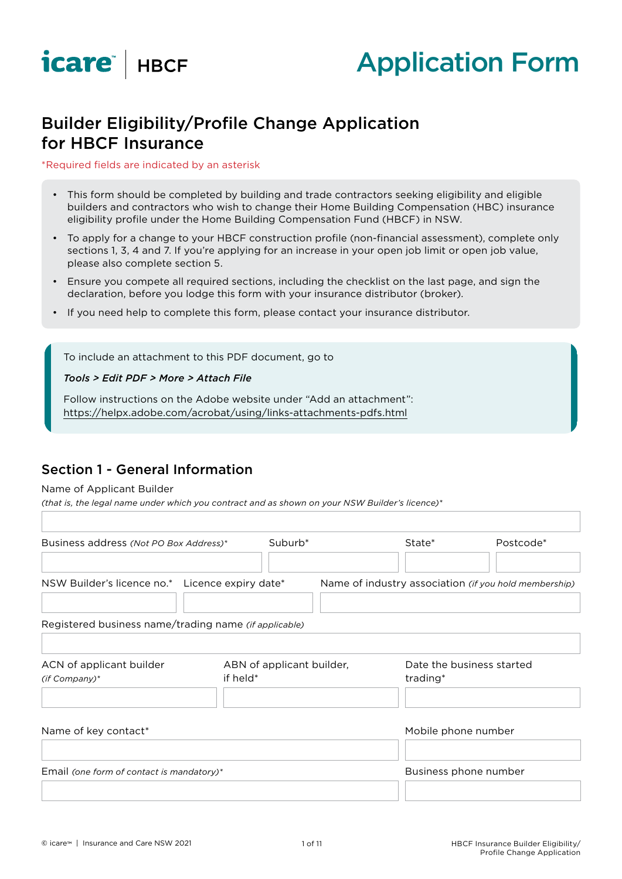



# Builder Eligibility/Profile Change Application for HBCF Insurance

#### \*Required fields are indicated by an asterisk

- This form should be completed by building and trade contractors seeking eligibility and eligible builders and contractors who wish to change their Home Building Compensation (HBC) insurance eligibility profile under the Home Building Compensation Fund (HBCF) in NSW.
- To apply for a change to your HBCF construction profile (non-financial assessment), complete only sections 1, 3, 4 and 7. If you're applying for an increase in your open job limit or open job value, please also complete section 5.
- Ensure you compete all required sections, including the checklist on the last page, and sign the declaration, before you lodge this form with your insurance distributor (broker).
- If you need help to complete this form, please contact your insurance distributor.

To include an attachment to this PDF document, go to

#### *Tools > Edit PDF > More > Attach File*

Follow instructions on the Adobe website under "Add an attachment": https://helpx.adobe.com/acrobat/using/links-attachments-pdfs.html

### Section 1 - General Information

#### Name of Applicant Builder

*(that is, the legal name under which you contract and as shown on your NSW Builder's licence)\**

| Business address (Not PO Box Address)*                | Suburb <sup>*</sup>                   | State*                | Postcode*                                             |
|-------------------------------------------------------|---------------------------------------|-----------------------|-------------------------------------------------------|
| NSW Builder's licence no.* Licence expiry date*       |                                       |                       | Name of industry association (if you hold membership) |
| Registered business name/trading name (if applicable) |                                       |                       |                                                       |
| ACN of applicant builder<br>(if Company)*             | ABN of applicant builder,<br>if held* | trading*              | Date the business started                             |
| Name of key contact*                                  |                                       | Mobile phone number   |                                                       |
| Email (one form of contact is mandatory)*             |                                       | Business phone number |                                                       |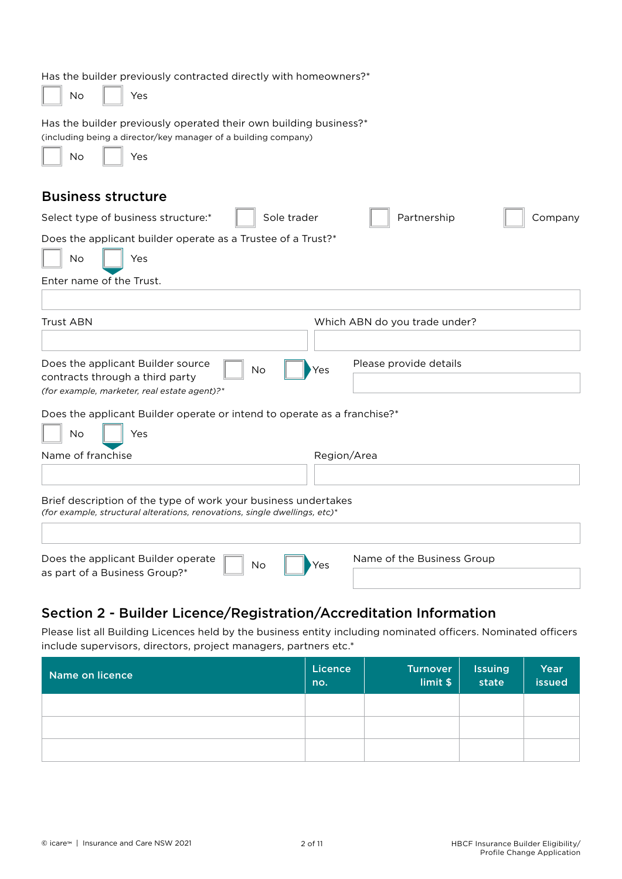| Has the builder previously contracted directly with homeowners?*<br>No<br>Yes                                                                    |  |  |  |  |  |  |
|--------------------------------------------------------------------------------------------------------------------------------------------------|--|--|--|--|--|--|
| Has the builder previously operated their own building business?*<br>(including being a director/key manager of a building company)<br>No<br>Yes |  |  |  |  |  |  |
| <b>Business structure</b>                                                                                                                        |  |  |  |  |  |  |
| Sole trader<br>Partnership<br>Select type of business structure:*<br>Company                                                                     |  |  |  |  |  |  |
| Does the applicant builder operate as a Trustee of a Trust?*                                                                                     |  |  |  |  |  |  |
| <b>No</b><br>Yes                                                                                                                                 |  |  |  |  |  |  |
| Enter name of the Trust.                                                                                                                         |  |  |  |  |  |  |
|                                                                                                                                                  |  |  |  |  |  |  |
| <b>Trust ABN</b><br>Which ABN do you trade under?                                                                                                |  |  |  |  |  |  |
|                                                                                                                                                  |  |  |  |  |  |  |
| Please provide details<br>Does the applicant Builder source<br><b>No</b><br>Yes                                                                  |  |  |  |  |  |  |
| contracts through a third party<br>(for example, marketer, real estate agent)?*                                                                  |  |  |  |  |  |  |
| Does the applicant Builder operate or intend to operate as a franchise?*                                                                         |  |  |  |  |  |  |
| <b>No</b><br>Yes                                                                                                                                 |  |  |  |  |  |  |
| Name of franchise<br>Region/Area                                                                                                                 |  |  |  |  |  |  |
|                                                                                                                                                  |  |  |  |  |  |  |
| Brief description of the type of work your business undertakes<br>(for example, structural alterations, renovations, single dwellings, etc)*     |  |  |  |  |  |  |
| Does the applicant Builder operate<br>Name of the Business Group<br>No<br>Yes<br>as part of a Business Group?*                                   |  |  |  |  |  |  |

## Section 2 - Builder Licence/Registration/Accreditation Information

Please list all Building Licences held by the business entity including nominated officers. Nominated officers include supervisors, directors, project managers, partners etc.\*

| Name on licence | Licence<br>no. | <b>Turnover</b><br>limit \$ | <b>Issuing</b><br>state | Year<br>issued |
|-----------------|----------------|-----------------------------|-------------------------|----------------|
|                 |                |                             |                         |                |
|                 |                |                             |                         |                |
|                 |                |                             |                         |                |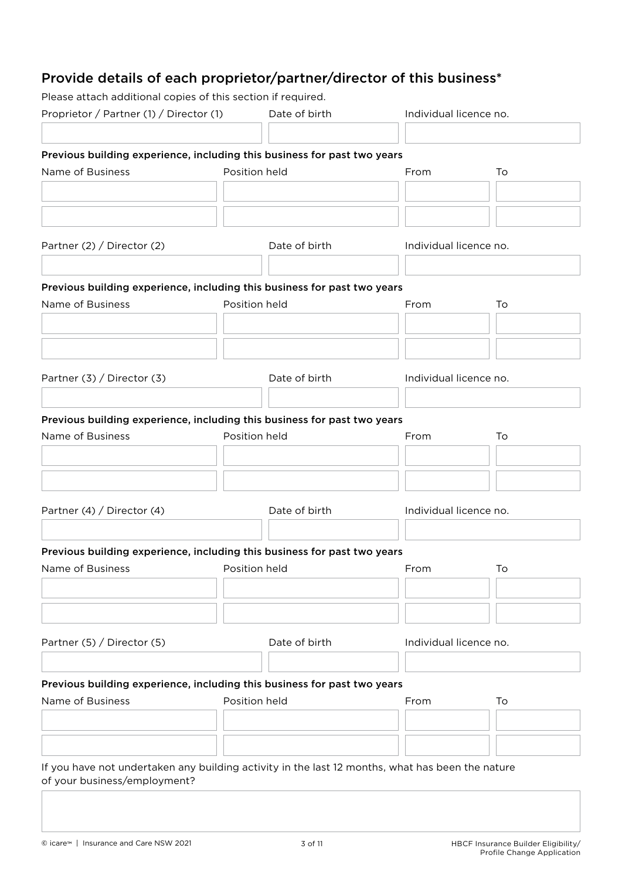# Provide details of each proprietor/partner/director of this business\*

Please attach additional copies of this section if required.

| Proprietor / Partner (1) / Director (1)                                                          | Date of birth | Individual licence no. |    |
|--------------------------------------------------------------------------------------------------|---------------|------------------------|----|
|                                                                                                  |               |                        |    |
| Previous building experience, including this business for past two years                         |               |                        |    |
| Name of Business                                                                                 | Position held | From                   | To |
|                                                                                                  |               |                        |    |
|                                                                                                  |               |                        |    |
| Partner (2) / Director (2)                                                                       | Date of birth | Individual licence no. |    |
|                                                                                                  |               |                        |    |
| Previous building experience, including this business for past two years                         |               |                        |    |
| Name of Business                                                                                 | Position held | From                   | To |
|                                                                                                  |               |                        |    |
|                                                                                                  |               |                        |    |
| Partner (3) / Director (3)                                                                       | Date of birth | Individual licence no. |    |
|                                                                                                  |               |                        |    |
| Previous building experience, including this business for past two years                         |               |                        |    |
| Name of Business                                                                                 | Position held | From                   | To |
|                                                                                                  |               |                        |    |
|                                                                                                  |               |                        |    |
|                                                                                                  |               |                        |    |
| Partner (4) / Director (4)                                                                       | Date of birth | Individual licence no. |    |
|                                                                                                  |               |                        |    |
| Previous building experience, including this business for past two years                         |               |                        |    |
| Name of Business <b>Name of Business</b> Position held                                           |               | <b>From</b>            | To |
|                                                                                                  |               |                        |    |
|                                                                                                  |               |                        |    |
|                                                                                                  |               |                        |    |
| Partner (5) / Director (5)                                                                       | Date of birth | Individual licence no. |    |
|                                                                                                  |               |                        |    |
| Previous building experience, including this business for past two years                         |               |                        |    |
| Name of Business                                                                                 | Position held | From                   | To |
|                                                                                                  |               |                        |    |
|                                                                                                  |               |                        |    |
| If you have not undertaken any building activity in the last 12 months, what has been the nature |               |                        |    |
| of your business/employment?                                                                     |               |                        |    |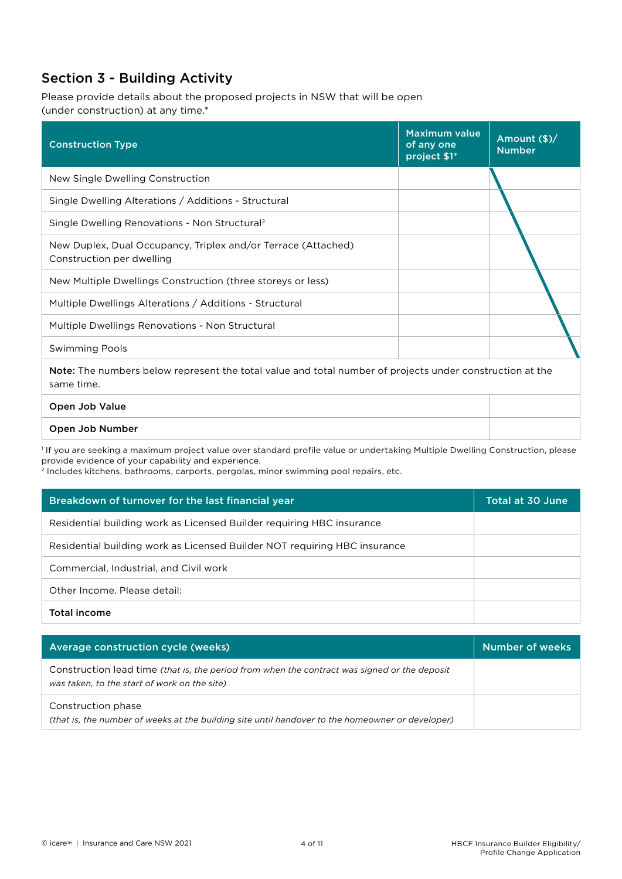## Section 3 - Building Activity

Please provide details about the proposed projects in NSW that will be open (under construction) at any time.\*

| <b>Construction Type</b>                                                                                                      | <b>Maximum value</b><br>of any one<br>project \$1* | Amount (\$)/<br><b>Number</b> |
|-------------------------------------------------------------------------------------------------------------------------------|----------------------------------------------------|-------------------------------|
| New Single Dwelling Construction                                                                                              |                                                    |                               |
| Single Dwelling Alterations / Additions - Structural                                                                          |                                                    |                               |
| Single Dwelling Renovations - Non Structural <sup>2</sup>                                                                     |                                                    |                               |
| New Duplex, Dual Occupancy, Triplex and/or Terrace (Attached)<br>Construction per dwelling                                    |                                                    |                               |
| New Multiple Dwellings Construction (three storeys or less)                                                                   |                                                    |                               |
| Multiple Dwellings Alterations / Additions - Structural                                                                       |                                                    |                               |
| Multiple Dwellings Renovations - Non Structural                                                                               |                                                    |                               |
| <b>Swimming Pools</b>                                                                                                         |                                                    |                               |
| <b>Note:</b> The numbers below represent the total value and total number of projects under construction at the<br>same time. |                                                    |                               |
| Open Job Value                                                                                                                |                                                    |                               |

#### Open Job Number

1 If you are seeking a maximum project value over standard profile value or undertaking Multiple Dwelling Construction, please provide evidence of your capability and experience.

2 Includes kitchens, bathrooms, carports, pergolas, minor swimming pool repairs, etc.

| Breakdown of turnover for the last financial year                         | Total at 30 June |
|---------------------------------------------------------------------------|------------------|
| Residential building work as Licensed Builder requiring HBC insurance     |                  |
| Residential building work as Licensed Builder NOT requiring HBC insurance |                  |
| Commercial, Industrial, and Civil work                                    |                  |
| Other Income. Please detail:                                              |                  |
| <b>Total income</b>                                                       |                  |

| Average construction cycle (weeks)                                                                                                           | Number of weeks |
|----------------------------------------------------------------------------------------------------------------------------------------------|-----------------|
| Construction lead time (that is, the period from when the contract was signed or the deposit<br>was taken, to the start of work on the site) |                 |
| Construction phase<br>(that is, the number of weeks at the building site until handover to the homeowner or developer)                       |                 |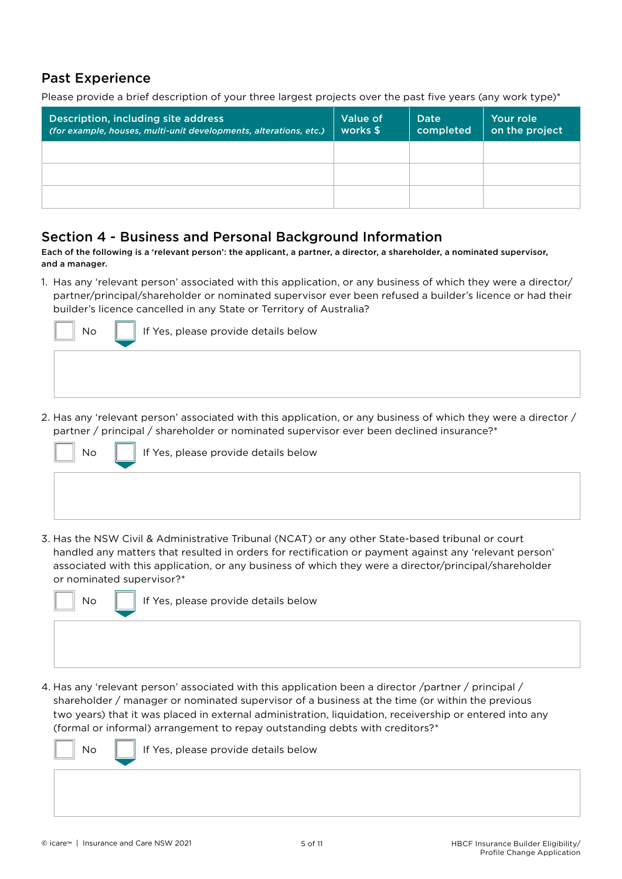### Past Experience

Please provide a brief description of your three largest projects over the past five years (any work type)\*

| Description, including site address<br>(for example, houses, multi-unit developments, alterations, etc.) | Value of<br>works \$ | Date<br>completed | Your role<br>on the project |
|----------------------------------------------------------------------------------------------------------|----------------------|-------------------|-----------------------------|
|                                                                                                          |                      |                   |                             |
|                                                                                                          |                      |                   |                             |
|                                                                                                          |                      |                   |                             |

### Section 4 - Business and Personal Background Information

Each of the following is a 'relevant person': the applicant, a partner, a director, a shareholder, a nominated supervisor, and a manager.

1. Has any 'relevant person' associated with this application, or any business of which they were a director/ partner/principal/shareholder or nominated supervisor ever been refused a builder's licence or had their builder's licence cancelled in any State or Territory of Australia?



2. Has any 'relevant person' associated with this application, or any business of which they were a director / partner / principal / shareholder or nominated supervisor ever been declined insurance?\*



3. Has the NSW Civil & Administrative Tribunal (NCAT) or any other State-based tribunal or court handled any matters that resulted in orders for rectification or payment against any 'relevant person' associated with this application, or any business of which they were a director/principal/shareholder or nominated supervisor?\*



 $\mathsf{No} \parallel \mathsf{I}$  If Yes, please provide details below

4. Has any 'relevant person' associated with this application been a director /partner / principal / shareholder / manager or nominated supervisor of a business at the time (or within the previous two years) that it was placed in external administration, liquidation, receivership or entered into any (formal or informal) arrangement to repay outstanding debts with creditors?\*

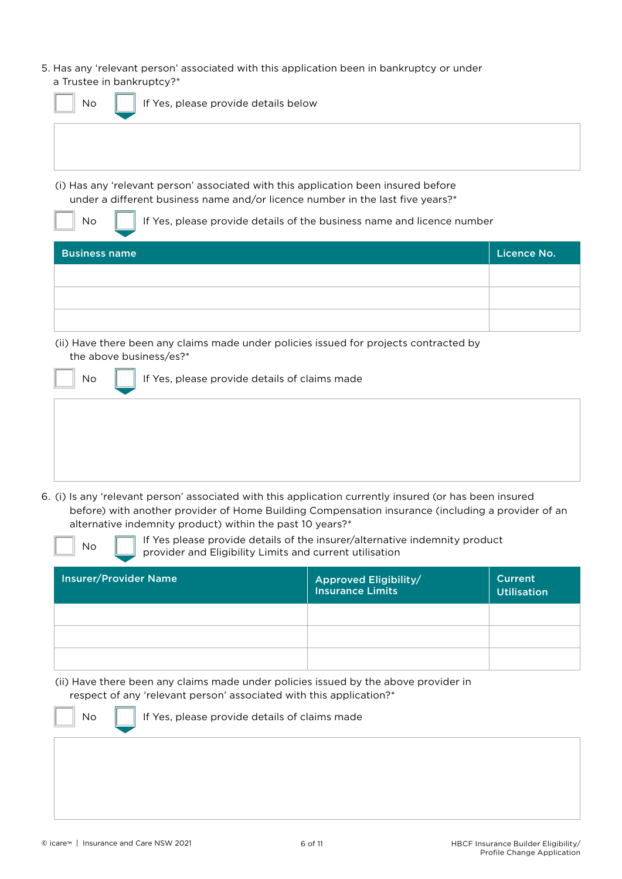5. Has any 'relevant person' associated with this application been in bankruptcy or under a Trustee in bankruptcy?\*

| If Yes, please provide details below<br>No                                                                                                                           |                                         |
|----------------------------------------------------------------------------------------------------------------------------------------------------------------------|-----------------------------------------|
|                                                                                                                                                                      |                                         |
| (i) Has any 'relevant person' associated with this application been insured before<br>under a different business name and/or licence number in the last five years?* |                                         |
| If Yes, please provide details of the business name and licence number<br><b>No</b>                                                                                  |                                         |
| <b>Business name</b>                                                                                                                                                 | Licence No.                             |
|                                                                                                                                                                      |                                         |
|                                                                                                                                                                      |                                         |
|                                                                                                                                                                      |                                         |
| (ii) Have there been any claims made under policies issued for projects contracted by<br>the above business/es?*                                                     |                                         |
| If Yes, please provide details of claims made<br>No                                                                                                                  |                                         |
|                                                                                                                                                                      |                                         |
|                                                                                                                                                                      |                                         |
|                                                                                                                                                                      |                                         |
|                                                                                                                                                                      | auusaatti jaajusad (au baa baan inauusa |

6. (i) Is any 'relevant person' associated with this application currently insured (or has been insured before) with another provider of Home Building Compensation insurance (including a provider of an alternative indemnity product) within the past 10 years?\*

| No |  |
|----|--|
|    |  |

If Yes please provide details of the insurer/alternative indemnity product provider and Eligibility Limits and current utilisation

| <b>Insurer/Provider Name</b> | <b>Approved Eligibility/</b><br><b>Insurance Limits</b> | <b>Current</b><br><b>Utilisation</b> |
|------------------------------|---------------------------------------------------------|--------------------------------------|
|                              |                                                         |                                      |
|                              |                                                         |                                      |
|                              |                                                         |                                      |

(ii) Have there been any claims made under policies issued by the above provider in respect of any 'relevant person' associated with this application?\*

 $\mathsf{No} \parallel \mathsf{I}$  If Yes, please provide details of claims made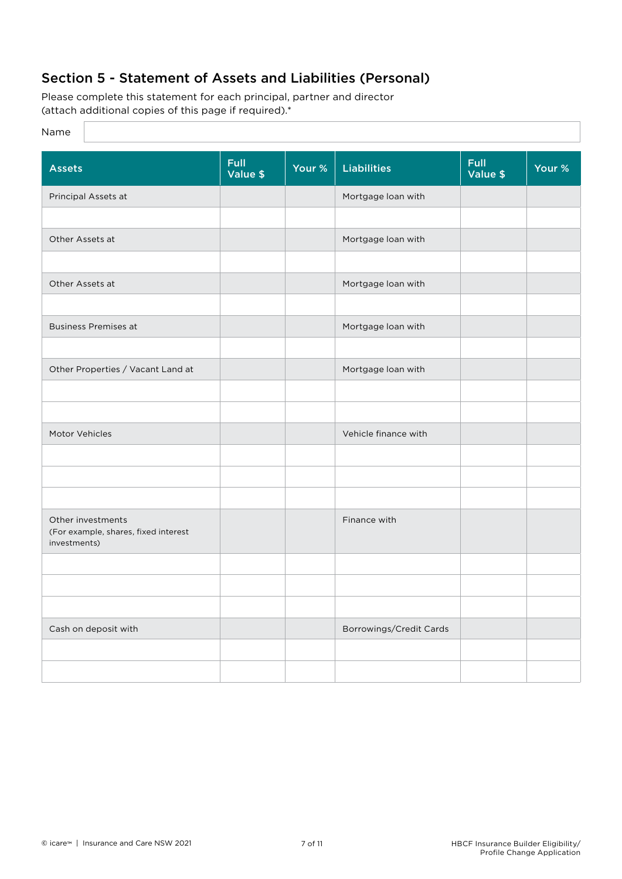## Section 5 - Statement of Assets and Liabilities (Personal)

Please complete this statement for each principal, partner and director (attach additional copies of this page if required).\*

### Name

| <b>Assets</b>                                                             | <b>Full</b><br>Value \$ | Your % | <b>Liabilities</b>      | <b>Full</b><br>Value \$ | Your % |
|---------------------------------------------------------------------------|-------------------------|--------|-------------------------|-------------------------|--------|
| Principal Assets at                                                       |                         |        | Mortgage loan with      |                         |        |
|                                                                           |                         |        |                         |                         |        |
| Other Assets at                                                           |                         |        | Mortgage loan with      |                         |        |
|                                                                           |                         |        |                         |                         |        |
| Other Assets at                                                           |                         |        | Mortgage loan with      |                         |        |
|                                                                           |                         |        |                         |                         |        |
| <b>Business Premises at</b>                                               |                         |        | Mortgage loan with      |                         |        |
|                                                                           |                         |        |                         |                         |        |
| Other Properties / Vacant Land at                                         |                         |        | Mortgage loan with      |                         |        |
|                                                                           |                         |        |                         |                         |        |
|                                                                           |                         |        |                         |                         |        |
| Motor Vehicles                                                            |                         |        | Vehicle finance with    |                         |        |
|                                                                           |                         |        |                         |                         |        |
|                                                                           |                         |        |                         |                         |        |
|                                                                           |                         |        |                         |                         |        |
| Other investments<br>(For example, shares, fixed interest<br>investments) |                         |        | Finance with            |                         |        |
|                                                                           |                         |        |                         |                         |        |
|                                                                           |                         |        |                         |                         |        |
|                                                                           |                         |        |                         |                         |        |
| Cash on deposit with                                                      |                         |        | Borrowings/Credit Cards |                         |        |
|                                                                           |                         |        |                         |                         |        |
|                                                                           |                         |        |                         |                         |        |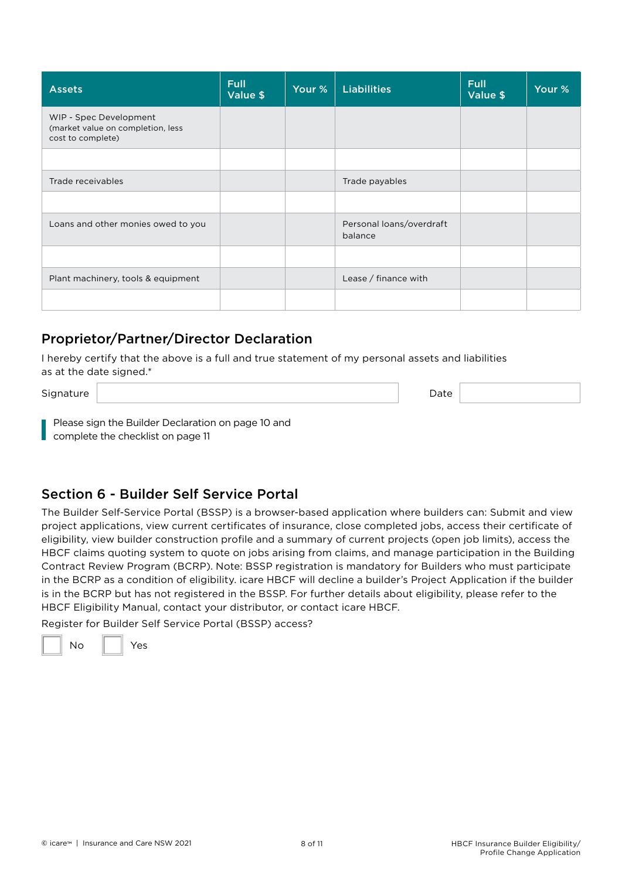| <b>Assets</b>                                                                    | <b>Full</b><br>Value \$ | Your % | <b>Liabilities</b>                  | <b>Full</b><br>Value \$ | Your % |
|----------------------------------------------------------------------------------|-------------------------|--------|-------------------------------------|-------------------------|--------|
| WIP - Spec Development<br>(market value on completion, less<br>cost to complete) |                         |        |                                     |                         |        |
|                                                                                  |                         |        |                                     |                         |        |
| Trade receivables                                                                |                         |        | Trade payables                      |                         |        |
|                                                                                  |                         |        |                                     |                         |        |
| Loans and other monies owed to you                                               |                         |        | Personal loans/overdraft<br>balance |                         |        |
|                                                                                  |                         |        |                                     |                         |        |
| Plant machinery, tools & equipment                                               |                         |        | Lease / finance with                |                         |        |
|                                                                                  |                         |        |                                     |                         |        |

### Proprietor/Partner/Director Declaration

I hereby certify that the above is a full and true statement of my personal assets and liabilities as at the date signed.\*

Signature Date Date of the Signature Date of the Signature Date of the Date of the Date of the Date of the Date of the Date of the Date of the Date of the Date of the Date of the Date of the Date of the Date of the Date of

Please sign the Builder Declaration on page 10 and complete the checklist on page 11

### Section 6 - Builder Self Service Portal

The Builder Self-Service Portal (BSSP) is a browser-based application where builders can: Submit and view project applications, view current certificates of insurance, close completed jobs, access their certificate of eligibility, view builder construction profile and a summary of current projects (open job limits), access the HBCF claims quoting system to quote on jobs arising from claims, and manage participation in the Building Contract Review Program (BCRP). Note: BSSP registration is mandatory for Builders who must participate in the BCRP as a condition of eligibility. icare HBCF will decline a builder's Project Application if the builder is in the BCRP but has not registered in the BSSP. For further details about eligibility, please refer to the HBCF Eligibility Manual, contact your distributor, or contact icare HBCF.

Register for Builder Self Service Portal (BSSP) access?

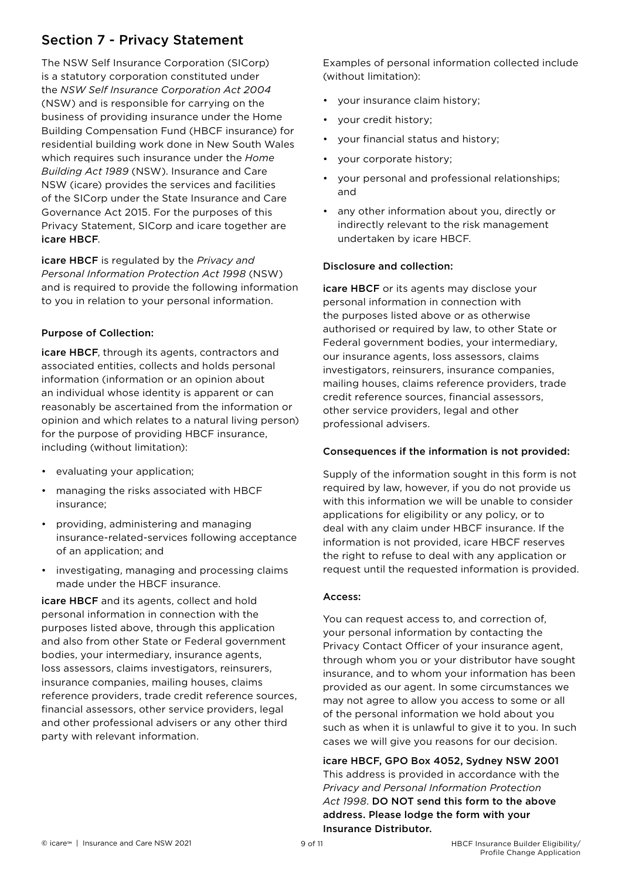## Section 7 - Privacy Statement

The NSW Self Insurance Corporation (SICorp) is a statutory corporation constituted under the *NSW Self Insurance Corporation Act 2004* (NSW) and is responsible for carrying on the business of providing insurance under the Home Building Compensation Fund (HBCF insurance) for residential building work done in New South Wales which requires such insurance under the *Home Building Act 1989* (NSW). Insurance and Care NSW (icare) provides the services and facilities of the SICorp under the State Insurance and Care Governance Act 2015. For the purposes of this Privacy Statement, SICorp and icare together are icare HBCF.

icare HBCF is regulated by the *Privacy and Personal Information Protection Act 1998* (NSW) and is required to provide the following information to you in relation to your personal information.

### Purpose of Collection:

icare HBCF, through its agents, contractors and associated entities, collects and holds personal information (information or an opinion about an individual whose identity is apparent or can reasonably be ascertained from the information or opinion and which relates to a natural living person) for the purpose of providing HBCF insurance, including (without limitation):

- evaluating your application;
- managing the risks associated with HBCF insurance;
- providing, administering and managing insurance-related-services following acceptance of an application; and
- investigating, managing and processing claims made under the HBCF insurance.

icare HBCF and its agents, collect and hold personal information in connection with the purposes listed above, through this application and also from other State or Federal government bodies, your intermediary, insurance agents, loss assessors, claims investigators, reinsurers, insurance companies, mailing houses, claims reference providers, trade credit reference sources, financial assessors, other service providers, legal and other professional advisers or any other third party with relevant information.

Examples of personal information collected include (without limitation):

- your insurance claim history;
- your credit history;
- your financial status and history;
- your corporate history;
- your personal and professional relationships; and
- any other information about you, directly or indirectly relevant to the risk management undertaken by icare HBCF.

### Disclosure and collection:

icare HBCF or its agents may disclose your personal information in connection with the purposes listed above or as otherwise authorised or required by law, to other State or Federal government bodies, your intermediary, our insurance agents, loss assessors, claims investigators, reinsurers, insurance companies, mailing houses, claims reference providers, trade credit reference sources, financial assessors, other service providers, legal and other professional advisers.

### Consequences if the information is not provided:

Supply of the information sought in this form is not required by law, however, if you do not provide us with this information we will be unable to consider applications for eligibility or any policy, or to deal with any claim under HBCF insurance. If the information is not provided, icare HBCF reserves the right to refuse to deal with any application or request until the requested information is provided.

### Access:

You can request access to, and correction of, your personal information by contacting the Privacy Contact Officer of your insurance agent, through whom you or your distributor have sought insurance, and to whom your information has been provided as our agent. In some circumstances we may not agree to allow you access to some or all of the personal information we hold about you such as when it is unlawful to give it to you. In such cases we will give you reasons for our decision.

icare HBCF, GPO Box 4052, Sydney NSW 2001 This address is provided in accordance with the *Privacy and Personal Information Protection Act 1998*. DO NOT send this form to the above address. Please lodge the form with your

Insurance Distributor.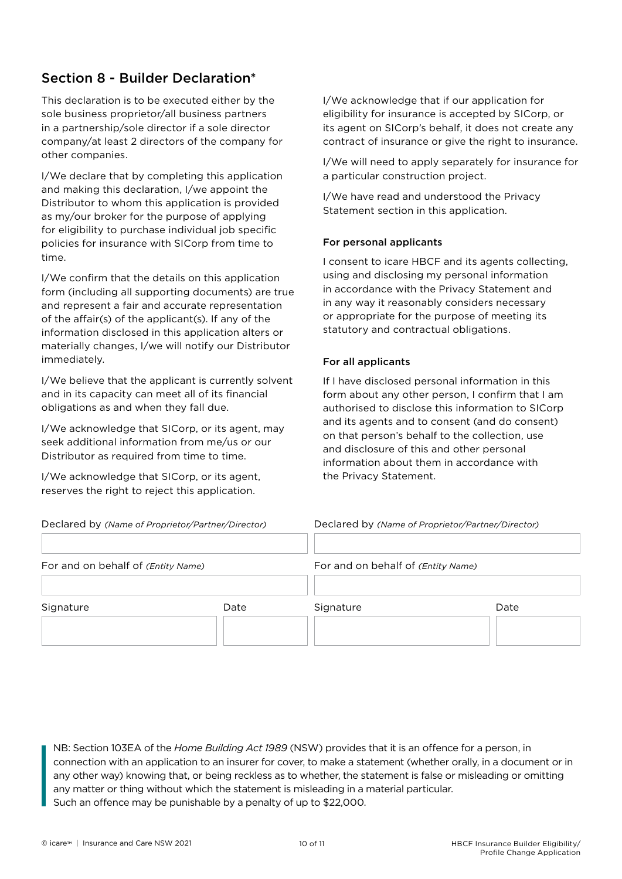## Section 8 - Builder Declaration\*

This declaration is to be executed either by the sole business proprietor/all business partners in a partnership/sole director if a sole director company/at least 2 directors of the company for other companies.

I/We declare that by completing this application and making this declaration, I/we appoint the Distributor to whom this application is provided as my/our broker for the purpose of applying for eligibility to purchase individual job specific policies for insurance with SICorp from time to time.

I/We confirm that the details on this application form (including all supporting documents) are true and represent a fair and accurate representation of the affair(s) of the applicant(s). If any of the information disclosed in this application alters or materially changes, I/we will notify our Distributor immediately.

I/We believe that the applicant is currently solvent and in its capacity can meet all of its financial obligations as and when they fall due.

I/We acknowledge that SICorp, or its agent, may seek additional information from me/us or our Distributor as required from time to time.

I/We acknowledge that SICorp, or its agent, reserves the right to reject this application.

I/We acknowledge that if our application for eligibility for insurance is accepted by SICorp, or its agent on SICorp's behalf, it does not create any contract of insurance or give the right to insurance.

I/We will need to apply separately for insurance for a particular construction project.

I/We have read and understood the Privacy Statement section in this application.

### For personal applicants

I consent to icare HBCF and its agents collecting, using and disclosing my personal information in accordance with the Privacy Statement and in any way it reasonably considers necessary or appropriate for the purpose of meeting its statutory and contractual obligations.

### For all applicants

If I have disclosed personal information in this form about any other person, I confirm that I am authorised to disclose this information to SICorp and its agents and to consent (and do consent) on that person's behalf to the collection, use and disclosure of this and other personal information about them in accordance with the Privacy Statement.

|  | eclared by (Name of Proprietor/Partner/Director) |  |
|--|--------------------------------------------------|--|
|  |                                                  |  |

Declared by *(Name of Proprietor/Partner/Director)* Declared by *(Name of Proprietor/Partner/Director)*

| For and on behalf of (Entity Name) |      |           | For and on behalf of (Entity Name) |  |  |  |
|------------------------------------|------|-----------|------------------------------------|--|--|--|
| Signature                          | Date | Signature | Date                               |  |  |  |

NB: Section 103EA of the *Home Building Act 1989* (NSW) provides that it is an offence for a person, in connection with an application to an insurer for cover, to make a statement (whether orally, in a document or in any other way) knowing that, or being reckless as to whether, the statement is false or misleading or omitting any matter or thing without which the statement is misleading in a material particular. Such an offence may be punishable by a penalty of up to \$22,000.